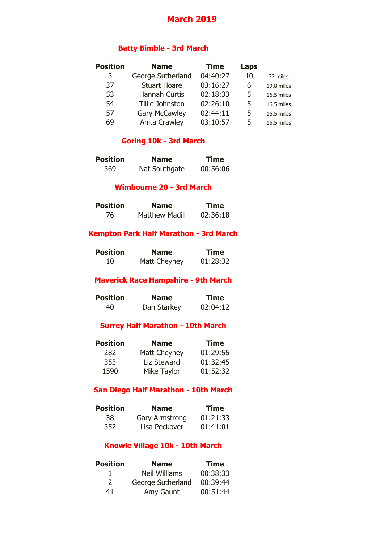# **March 2019**

#### **Batty Bimble - 3rd March**

| <b>Position</b> | <b>Name</b>          | <b>Time</b> | Laps |            |
|-----------------|----------------------|-------------|------|------------|
| 3               | George Sutherland    | 04:40:27    | 10   | 33 miles   |
| 37              | <b>Stuart Hoare</b>  | 03:16:27    | 6    | 19.8 miles |
| 53              | <b>Hannah Curtis</b> | 02:18:33    | 5    | 16.5 miles |
| 54              | Tillie Johnston      | 02:26:10    | 5    | 16.5 miles |
| 57              | <b>Gary McCawley</b> | 02:44:11    | 5    | 16.5 miles |
| 69              | Anita Crawley        | 03:10:57    | 5    | 16.5 miles |

#### **Goring 10k - 3rd March**

| <b>Position</b> | <b>Name</b>   | <b>Time</b> |
|-----------------|---------------|-------------|
| 369             | Nat Southgate | 00:56:06    |

#### **Wimbourne 20 - 3rd March**

| <b>Position</b> | <b>Name</b>           | <b>Time</b> |
|-----------------|-----------------------|-------------|
| 76              | <b>Matthew Madill</b> | 02:36:18    |

#### **Kempton Park Half Marathon - 3rd March**

| <b>Position</b> | <b>Name</b>  | <b>Time</b> |
|-----------------|--------------|-------------|
| 10              | Matt Cheyney | 01:28:32    |

# **Maverick Race Hampshire - 9th March**

| <b>Position</b> | <b>Name</b> | <b>Time</b> |
|-----------------|-------------|-------------|
| 40              | Dan Starkey | 02:04:12    |

#### **Surrey Half Marathon - 10th March**

| <b>Position</b> | <b>Name</b>  | <b>Time</b> |
|-----------------|--------------|-------------|
| 282             | Matt Cheyney | 01:29:55    |
| 353             | Liz Steward  | 01:32:45    |
| 1590            | Mike Taylor  | 01:52:32    |

#### **San Diego Half Marathon - 10th March**

| <b>Position</b> | <b>Name</b>    | <b>Time</b> |
|-----------------|----------------|-------------|
| 38              | Gary Armstrong | 01:21:33    |
| 352             | Lisa Peckover  | 01:41:01    |

# **Knowle Village 10k - 10th March**

| <b>Position</b> | <b>Name</b>          | <b>Time</b> |
|-----------------|----------------------|-------------|
|                 | <b>Neil Williams</b> | 00:38:33    |
| $\mathcal{L}$   | George Sutherland    | 00:39:44    |
| 41              | Amy Gaunt            | 00:51:44    |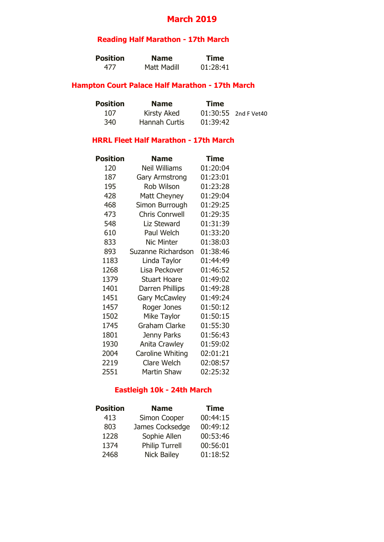# **March 2019**

# **Reading Half Marathon - 17th March**

| <b>Position</b> | <b>Name</b> | <b>Time</b> |
|-----------------|-------------|-------------|
| 477             | Matt Madill | 01:28:41    |

#### **Hampton Court Palace Half Marathon - 17th March**

| <b>Position</b> | <b>Name</b>          | <b>Time</b> |                      |
|-----------------|----------------------|-------------|----------------------|
| 107             | <b>Kirsty Aked</b>   |             | 01:30:55 2nd F Vet40 |
| 340             | <b>Hannah Curtis</b> | 01:39:42    |                      |

### **HRRL Fleet Half Marathon - 17th March**

| Position | <b>Name</b>               | Time     |
|----------|---------------------------|----------|
| 120      | <b>Neil Williams</b>      | 01:20:04 |
| 187      | <b>Gary Armstrong</b>     | 01:23:01 |
| 195      | <b>Rob Wilson</b>         | 01:23:28 |
| 428      | Matt Cheyney              | 01:29:04 |
| 468      | Simon Burrough            | 01:29:25 |
| 473      | <b>Chris Conrwell</b>     | 01:29:35 |
| 548      | <b>Liz Steward</b>        | 01:31:39 |
| 610      | Paul Welch                | 01:33:20 |
| 833      | <b>Nic Minter</b>         | 01:38:03 |
| 893      | <b>Suzanne Richardson</b> | 01:38:46 |
| 1183     | Linda Taylor              | 01:44:49 |
| 1268     | Lisa Peckover             | 01:46:52 |
| 1379     | <b>Stuart Hoare</b>       | 01:49:02 |
| 1401     | Darren Phillips           | 01:49:28 |
| 1451     | <b>Gary McCawley</b>      | 01:49:24 |
| 1457     | Roger Jones               | 01:50:12 |
| 1502     | Mike Taylor               | 01:50:15 |
| 1745     | <b>Graham Clarke</b>      | 01:55:30 |
| 1801     | Jenny Parks               | 01:56:43 |
| 1930     | <b>Anita Crawley</b>      | 01:59:02 |
| 2004     | Caroline Whiting          | 02:01:21 |
| 2219     | <b>Clare Welch</b>        | 02:08:57 |
| 2551     | <b>Martin Shaw</b>        | 02:25:32 |

# **Eastleigh 10k - 24th March**

| <b>Position</b> | <b>Name</b>           | <b>Time</b> |
|-----------------|-----------------------|-------------|
| 413             | Simon Cooper          | 00:44:15    |
| 803             | James Cocksedge       | 00:49:12    |
| 1228            | Sophie Allen          | 00:53:46    |
| 1374            | <b>Philip Turrell</b> | 00:56:01    |
| 2468            | <b>Nick Bailey</b>    | 01:18:52    |